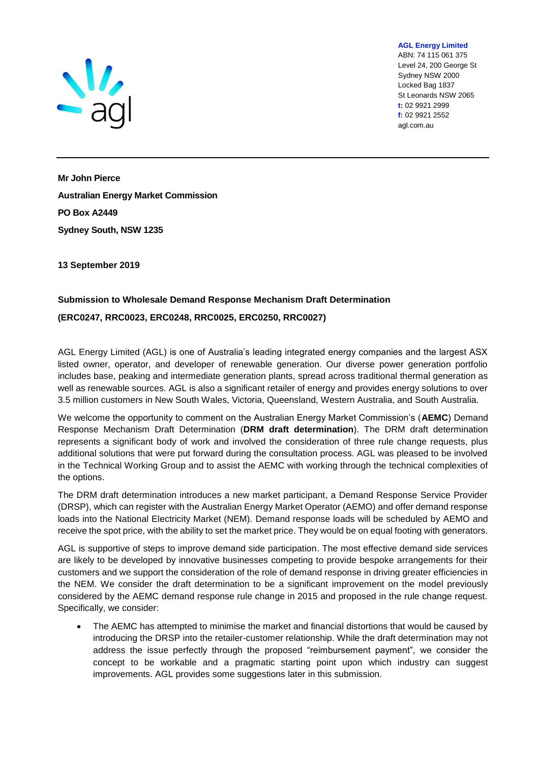

ABN: 74 115 061 375 Level 24, 200 George St Sydney NSW 2000 Locked Bag 1837 St Leonards NSW 2065 **t:** 02 9921 2999 **f:** 02 9921 2552 agl.com.au

**AGL Energy Limited**

**Mr John Pierce Australian Energy Market Commission PO Box A2449 Sydney South, NSW 1235**

**13 September 2019**

# **Submission to Wholesale Demand Response Mechanism Draft Determination (ERC0247, RRC0023, ERC0248, RRC0025, ERC0250, RRC0027)**

AGL Energy Limited (AGL) is one of Australia's leading integrated energy companies and the largest ASX listed owner, operator, and developer of renewable generation. Our diverse power generation portfolio includes base, peaking and intermediate generation plants, spread across traditional thermal generation as well as renewable sources. AGL is also a significant retailer of energy and provides energy solutions to over 3.5 million customers in New South Wales, Victoria, Queensland, Western Australia, and South Australia.

We welcome the opportunity to comment on the Australian Energy Market Commission's (**AEMC**) Demand Response Mechanism Draft Determination (**DRM draft determination**). The DRM draft determination represents a significant body of work and involved the consideration of three rule change requests, plus additional solutions that were put forward during the consultation process. AGL was pleased to be involved in the Technical Working Group and to assist the AEMC with working through the technical complexities of the options.

The DRM draft determination introduces a new market participant, a Demand Response Service Provider (DRSP), which can register with the Australian Energy Market Operator (AEMO) and offer demand response loads into the National Electricity Market (NEM). Demand response loads will be scheduled by AEMO and receive the spot price, with the ability to set the market price. They would be on equal footing with generators.

AGL is supportive of steps to improve demand side participation. The most effective demand side services are likely to be developed by innovative businesses competing to provide bespoke arrangements for their customers and we support the consideration of the role of demand response in driving greater efficiencies in the NEM. We consider the draft determination to be a significant improvement on the model previously considered by the AEMC demand response rule change in 2015 and proposed in the rule change request. Specifically, we consider:

• The AEMC has attempted to minimise the market and financial distortions that would be caused by introducing the DRSP into the retailer-customer relationship. While the draft determination may not address the issue perfectly through the proposed "reimbursement payment", we consider the concept to be workable and a pragmatic starting point upon which industry can suggest improvements. AGL provides some suggestions later in this submission.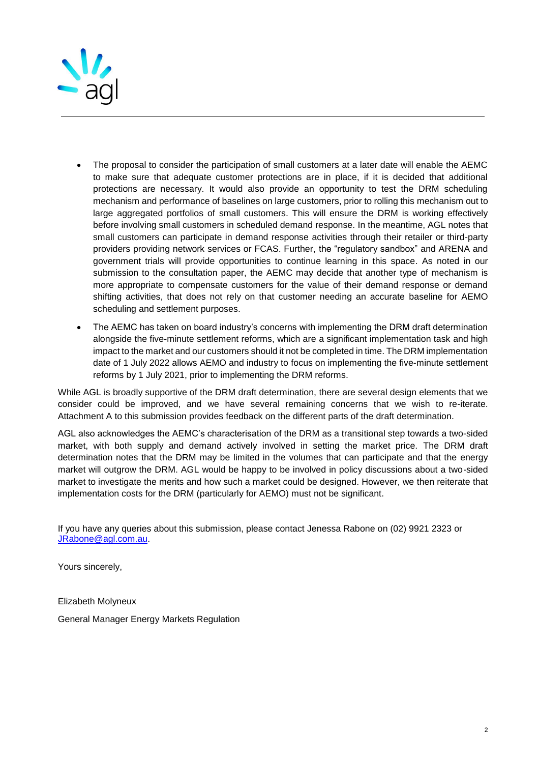

- The proposal to consider the participation of small customers at a later date will enable the AEMC to make sure that adequate customer protections are in place, if it is decided that additional protections are necessary. It would also provide an opportunity to test the DRM scheduling mechanism and performance of baselines on large customers, prior to rolling this mechanism out to large aggregated portfolios of small customers. This will ensure the DRM is working effectively before involving small customers in scheduled demand response. In the meantime, AGL notes that small customers can participate in demand response activities through their retailer or third-party providers providing network services or FCAS. Further, the "regulatory sandbox" and ARENA and government trials will provide opportunities to continue learning in this space. As noted in our submission to the consultation paper, the AEMC may decide that another type of mechanism is more appropriate to compensate customers for the value of their demand response or demand shifting activities, that does not rely on that customer needing an accurate baseline for AEMO scheduling and settlement purposes.
- The AEMC has taken on board industry's concerns with implementing the DRM draft determination alongside the five-minute settlement reforms, which are a significant implementation task and high impact to the market and our customers should it not be completed in time. The DRM implementation date of 1 July 2022 allows AEMO and industry to focus on implementing the five-minute settlement reforms by 1 July 2021, prior to implementing the DRM reforms.

While AGL is broadly supportive of the DRM draft determination, there are several design elements that we consider could be improved, and we have several remaining concerns that we wish to re-iterate. Attachment A to this submission provides feedback on the different parts of the draft determination.

AGL also acknowledges the AEMC's characterisation of the DRM as a transitional step towards a two-sided market, with both supply and demand actively involved in setting the market price. The DRM draft determination notes that the DRM may be limited in the volumes that can participate and that the energy market will outgrow the DRM. AGL would be happy to be involved in policy discussions about a two-sided market to investigate the merits and how such a market could be designed. However, we then reiterate that implementation costs for the DRM (particularly for AEMO) must not be significant.

If you have any queries about this submission, please contact Jenessa Rabone on (02) 9921 2323 or [JRabone@agl.com.au.](mailto:JRabone@agl.com.au)

Yours sincerely,

Elizabeth Molyneux General Manager Energy Markets Regulation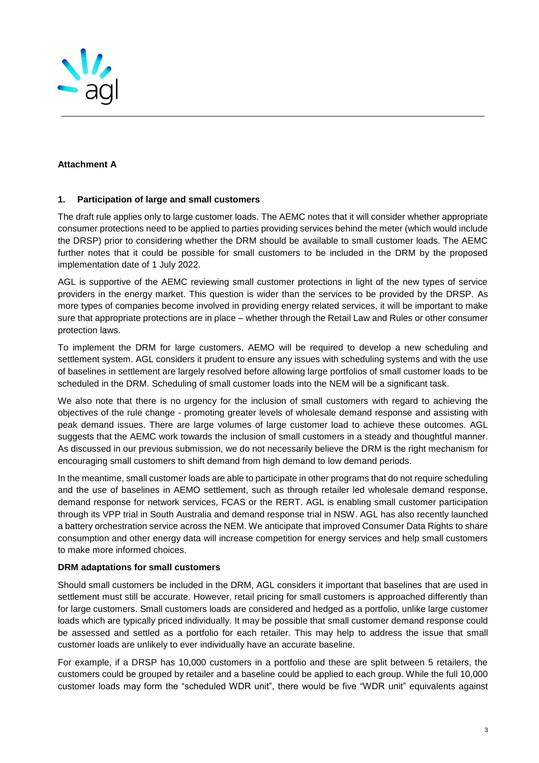

### **Attachment A**

#### **1. Participation of large and small customers**

The draft rule applies only to large customer loads. The AEMC notes that it will consider whether appropriate consumer protections need to be applied to parties providing services behind the meter (which would include the DRSP) prior to considering whether the DRM should be available to small customer loads. The AEMC further notes that it could be possible for small customers to be included in the DRM by the proposed implementation date of 1 July 2022.

AGL is supportive of the AEMC reviewing small customer protections in light of the new types of service providers in the energy market. This question is wider than the services to be provided by the DRSP. As more types of companies become involved in providing energy related services, it will be important to make sure that appropriate protections are in place – whether through the Retail Law and Rules or other consumer protection laws.

To implement the DRM for large customers, AEMO will be required to develop a new scheduling and settlement system. AGL considers it prudent to ensure any issues with scheduling systems and with the use of baselines in settlement are largely resolved before allowing large portfolios of small customer loads to be scheduled in the DRM. Scheduling of small customer loads into the NEM will be a significant task.

We also note that there is no urgency for the inclusion of small customers with regard to achieving the objectives of the rule change - promoting greater levels of wholesale demand response and assisting with peak demand issues. There are large volumes of large customer load to achieve these outcomes. AGL suggests that the AEMC work towards the inclusion of small customers in a steady and thoughtful manner. As discussed in our previous submission, we do not necessarily believe the DRM is the right mechanism for encouraging small customers to shift demand from high demand to low demand periods.

In the meantime, small customer loads are able to participate in other programs that do not require scheduling and the use of baselines in AEMO settlement, such as through retailer led wholesale demand response, demand response for network services, FCAS or the RERT. AGL is enabling small customer participation through its VPP trial in South Australia and demand response trial in NSW. AGL has also recently launched a battery orchestration service across the NEM. We anticipate that improved Consumer Data Rights to share consumption and other energy data will increase competition for energy services and help small customers to make more informed choices.

### **DRM adaptations for small customers**

Should small customers be included in the DRM, AGL considers it important that baselines that are used in settlement must still be accurate. However, retail pricing for small customers is approached differently than for large customers. Small customers loads are considered and hedged as a portfolio, unlike large customer loads which are typically priced individually. It may be possible that small customer demand response could be assessed and settled as a portfolio for each retailer. This may help to address the issue that small customer loads are unlikely to ever individually have an accurate baseline.

For example, if a DRSP has 10,000 customers in a portfolio and these are split between 5 retailers, the customers could be grouped by retailer and a baseline could be applied to each group. While the full 10,000 customer loads may form the "scheduled WDR unit", there would be five "WDR unit" equivalents against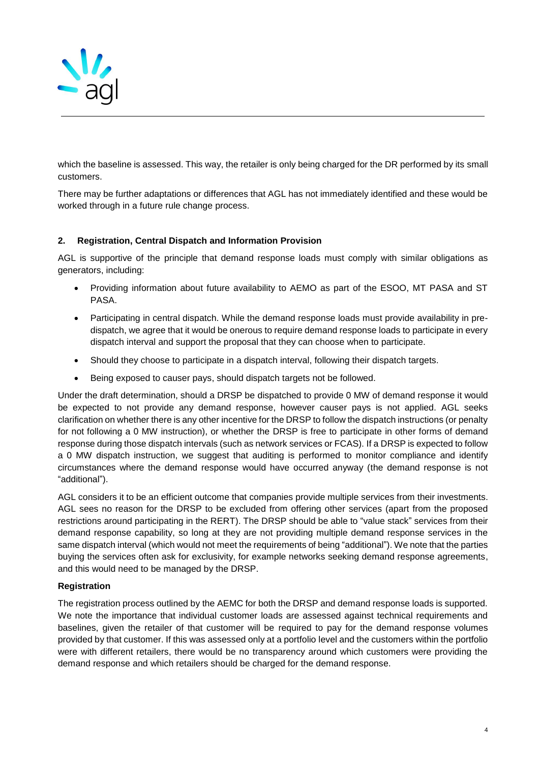

which the baseline is assessed. This way, the retailer is only being charged for the DR performed by its small customers.

There may be further adaptations or differences that AGL has not immediately identified and these would be worked through in a future rule change process.

## **2. Registration, Central Dispatch and Information Provision**

AGL is supportive of the principle that demand response loads must comply with similar obligations as generators, including:

- Providing information about future availability to AEMO as part of the ESOO, MT PASA and ST PASA.
- Participating in central dispatch. While the demand response loads must provide availability in predispatch, we agree that it would be onerous to require demand response loads to participate in every dispatch interval and support the proposal that they can choose when to participate.
- Should they choose to participate in a dispatch interval, following their dispatch targets.
- Being exposed to causer pays, should dispatch targets not be followed.

Under the draft determination, should a DRSP be dispatched to provide 0 MW of demand response it would be expected to not provide any demand response, however causer pays is not applied. AGL seeks clarification on whether there is any other incentive for the DRSP to follow the dispatch instructions (or penalty for not following a 0 MW instruction), or whether the DRSP is free to participate in other forms of demand response during those dispatch intervals (such as network services or FCAS). If a DRSP is expected to follow a 0 MW dispatch instruction, we suggest that auditing is performed to monitor compliance and identify circumstances where the demand response would have occurred anyway (the demand response is not "additional").

AGL considers it to be an efficient outcome that companies provide multiple services from their investments. AGL sees no reason for the DRSP to be excluded from offering other services (apart from the proposed restrictions around participating in the RERT). The DRSP should be able to "value stack" services from their demand response capability, so long at they are not providing multiple demand response services in the same dispatch interval (which would not meet the requirements of being "additional"). We note that the parties buying the services often ask for exclusivity, for example networks seeking demand response agreements, and this would need to be managed by the DRSP.

### **Registration**

The registration process outlined by the AEMC for both the DRSP and demand response loads is supported. We note the importance that individual customer loads are assessed against technical requirements and baselines, given the retailer of that customer will be required to pay for the demand response volumes provided by that customer. If this was assessed only at a portfolio level and the customers within the portfolio were with different retailers, there would be no transparency around which customers were providing the demand response and which retailers should be charged for the demand response.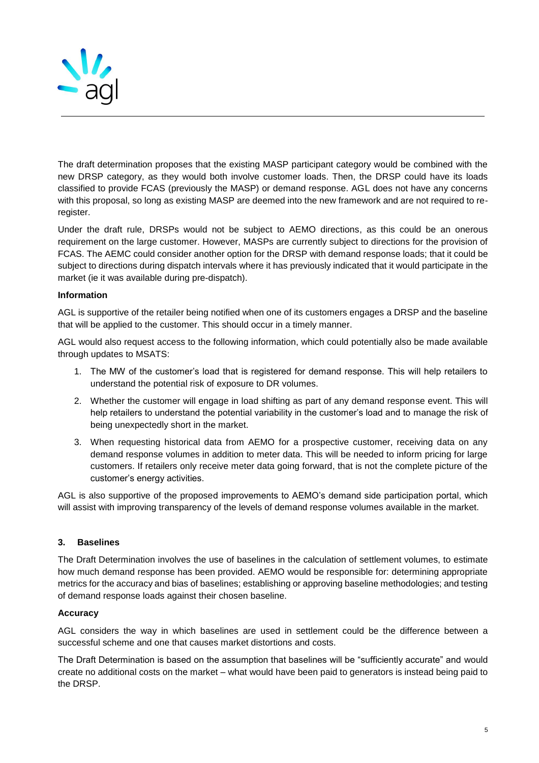

The draft determination proposes that the existing MASP participant category would be combined with the new DRSP category, as they would both involve customer loads. Then, the DRSP could have its loads classified to provide FCAS (previously the MASP) or demand response. AGL does not have any concerns with this proposal, so long as existing MASP are deemed into the new framework and are not required to reregister.

Under the draft rule, DRSPs would not be subject to AEMO directions, as this could be an onerous requirement on the large customer. However, MASPs are currently subject to directions for the provision of FCAS. The AEMC could consider another option for the DRSP with demand response loads; that it could be subject to directions during dispatch intervals where it has previously indicated that it would participate in the market (ie it was available during pre-dispatch).

## **Information**

AGL is supportive of the retailer being notified when one of its customers engages a DRSP and the baseline that will be applied to the customer. This should occur in a timely manner.

AGL would also request access to the following information, which could potentially also be made available through updates to MSATS:

- 1. The MW of the customer's load that is registered for demand response. This will help retailers to understand the potential risk of exposure to DR volumes.
- 2. Whether the customer will engage in load shifting as part of any demand response event. This will help retailers to understand the potential variability in the customer's load and to manage the risk of being unexpectedly short in the market.
- 3. When requesting historical data from AEMO for a prospective customer, receiving data on any demand response volumes in addition to meter data. This will be needed to inform pricing for large customers. If retailers only receive meter data going forward, that is not the complete picture of the customer's energy activities.

AGL is also supportive of the proposed improvements to AEMO's demand side participation portal, which will assist with improving transparency of the levels of demand response volumes available in the market.

### **3. Baselines**

The Draft Determination involves the use of baselines in the calculation of settlement volumes, to estimate how much demand response has been provided. AEMO would be responsible for: determining appropriate metrics for the accuracy and bias of baselines; establishing or approving baseline methodologies; and testing of demand response loads against their chosen baseline.

### **Accuracy**

AGL considers the way in which baselines are used in settlement could be the difference between a successful scheme and one that causes market distortions and costs.

The Draft Determination is based on the assumption that baselines will be "sufficiently accurate" and would create no additional costs on the market – what would have been paid to generators is instead being paid to the DRSP.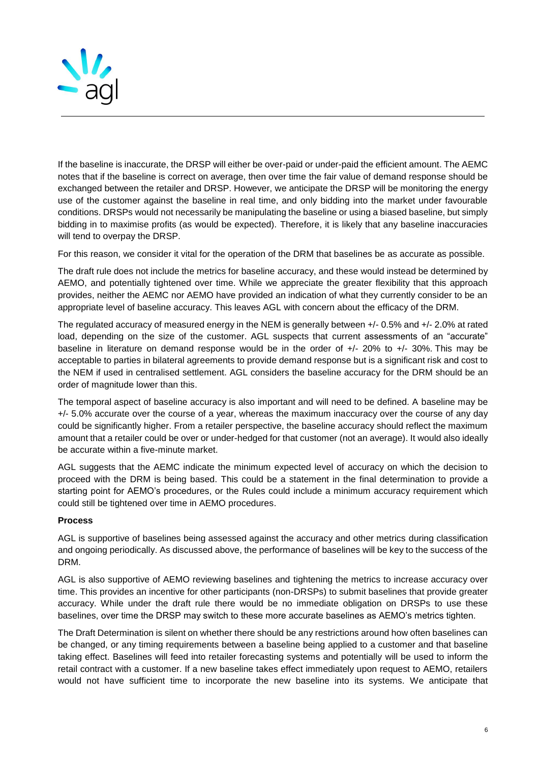

If the baseline is inaccurate, the DRSP will either be over-paid or under-paid the efficient amount. The AEMC notes that if the baseline is correct on average, then over time the fair value of demand response should be exchanged between the retailer and DRSP. However, we anticipate the DRSP will be monitoring the energy use of the customer against the baseline in real time, and only bidding into the market under favourable conditions. DRSPs would not necessarily be manipulating the baseline or using a biased baseline, but simply bidding in to maximise profits (as would be expected). Therefore, it is likely that any baseline inaccuracies will tend to overpay the DRSP.

For this reason, we consider it vital for the operation of the DRM that baselines be as accurate as possible.

The draft rule does not include the metrics for baseline accuracy, and these would instead be determined by AEMO, and potentially tightened over time. While we appreciate the greater flexibility that this approach provides, neither the AEMC nor AEMO have provided an indication of what they currently consider to be an appropriate level of baseline accuracy. This leaves AGL with concern about the efficacy of the DRM.

The regulated accuracy of measured energy in the NEM is generally between +/- 0.5% and +/- 2.0% at rated load, depending on the size of the customer. AGL suspects that current assessments of an "accurate" baseline in literature on demand response would be in the order of +/- 20% to +/- 30%. This may be acceptable to parties in bilateral agreements to provide demand response but is a significant risk and cost to the NEM if used in centralised settlement. AGL considers the baseline accuracy for the DRM should be an order of magnitude lower than this.

The temporal aspect of baseline accuracy is also important and will need to be defined. A baseline may be +/- 5.0% accurate over the course of a year, whereas the maximum inaccuracy over the course of any day could be significantly higher. From a retailer perspective, the baseline accuracy should reflect the maximum amount that a retailer could be over or under-hedged for that customer (not an average). It would also ideally be accurate within a five-minute market.

AGL suggests that the AEMC indicate the minimum expected level of accuracy on which the decision to proceed with the DRM is being based. This could be a statement in the final determination to provide a starting point for AEMO's procedures, or the Rules could include a minimum accuracy requirement which could still be tightened over time in AEMO procedures.

### **Process**

AGL is supportive of baselines being assessed against the accuracy and other metrics during classification and ongoing periodically. As discussed above, the performance of baselines will be key to the success of the DRM.

AGL is also supportive of AEMO reviewing baselines and tightening the metrics to increase accuracy over time. This provides an incentive for other participants (non-DRSPs) to submit baselines that provide greater accuracy. While under the draft rule there would be no immediate obligation on DRSPs to use these baselines, over time the DRSP may switch to these more accurate baselines as AEMO's metrics tighten.

The Draft Determination is silent on whether there should be any restrictions around how often baselines can be changed, or any timing requirements between a baseline being applied to a customer and that baseline taking effect. Baselines will feed into retailer forecasting systems and potentially will be used to inform the retail contract with a customer. If a new baseline takes effect immediately upon request to AEMO, retailers would not have sufficient time to incorporate the new baseline into its systems. We anticipate that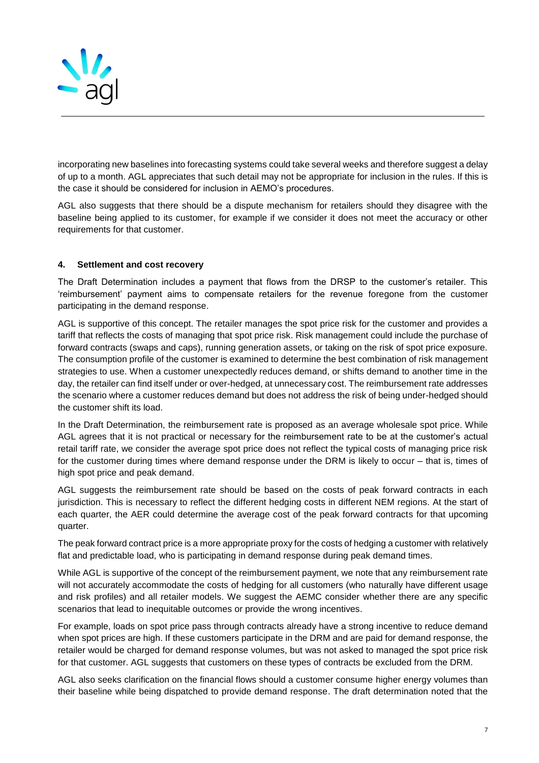

incorporating new baselines into forecasting systems could take several weeks and therefore suggest a delay of up to a month. AGL appreciates that such detail may not be appropriate for inclusion in the rules. If this is the case it should be considered for inclusion in AEMO's procedures.

AGL also suggests that there should be a dispute mechanism for retailers should they disagree with the baseline being applied to its customer, for example if we consider it does not meet the accuracy or other requirements for that customer.

## **4. Settlement and cost recovery**

The Draft Determination includes a payment that flows from the DRSP to the customer's retailer. This 'reimbursement' payment aims to compensate retailers for the revenue foregone from the customer participating in the demand response.

AGL is supportive of this concept. The retailer manages the spot price risk for the customer and provides a tariff that reflects the costs of managing that spot price risk. Risk management could include the purchase of forward contracts (swaps and caps), running generation assets, or taking on the risk of spot price exposure. The consumption profile of the customer is examined to determine the best combination of risk management strategies to use. When a customer unexpectedly reduces demand, or shifts demand to another time in the day, the retailer can find itself under or over-hedged, at unnecessary cost. The reimbursement rate addresses the scenario where a customer reduces demand but does not address the risk of being under-hedged should the customer shift its load.

In the Draft Determination, the reimbursement rate is proposed as an average wholesale spot price. While AGL agrees that it is not practical or necessary for the reimbursement rate to be at the customer's actual retail tariff rate, we consider the average spot price does not reflect the typical costs of managing price risk for the customer during times where demand response under the DRM is likely to occur – that is, times of high spot price and peak demand.

AGL suggests the reimbursement rate should be based on the costs of peak forward contracts in each jurisdiction. This is necessary to reflect the different hedging costs in different NEM regions. At the start of each quarter, the AER could determine the average cost of the peak forward contracts for that upcoming quarter.

The peak forward contract price is a more appropriate proxy for the costs of hedging a customer with relatively flat and predictable load, who is participating in demand response during peak demand times.

While AGL is supportive of the concept of the reimbursement payment, we note that any reimbursement rate will not accurately accommodate the costs of hedging for all customers (who naturally have different usage and risk profiles) and all retailer models. We suggest the AEMC consider whether there are any specific scenarios that lead to inequitable outcomes or provide the wrong incentives.

For example, loads on spot price pass through contracts already have a strong incentive to reduce demand when spot prices are high. If these customers participate in the DRM and are paid for demand response, the retailer would be charged for demand response volumes, but was not asked to managed the spot price risk for that customer. AGL suggests that customers on these types of contracts be excluded from the DRM.

AGL also seeks clarification on the financial flows should a customer consume higher energy volumes than their baseline while being dispatched to provide demand response. The draft determination noted that the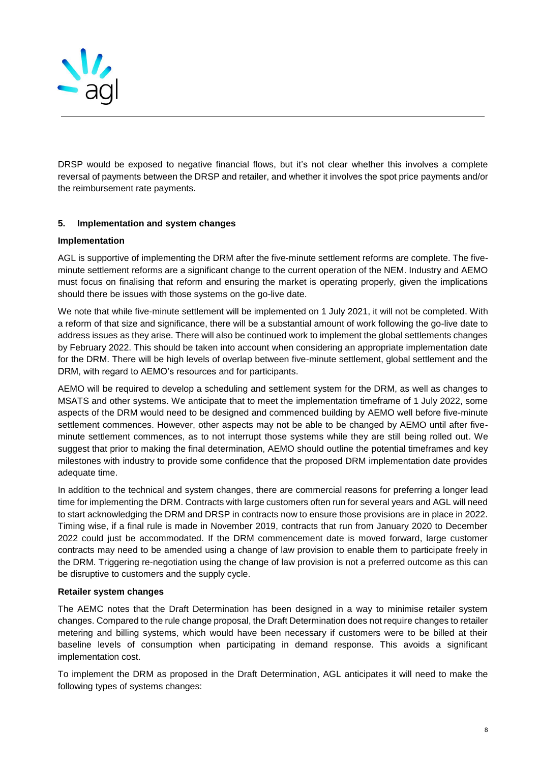

DRSP would be exposed to negative financial flows, but it's not clear whether this involves a complete reversal of payments between the DRSP and retailer, and whether it involves the spot price payments and/or the reimbursement rate payments.

## **5. Implementation and system changes**

### **Implementation**

AGL is supportive of implementing the DRM after the five-minute settlement reforms are complete. The fiveminute settlement reforms are a significant change to the current operation of the NEM. Industry and AEMO must focus on finalising that reform and ensuring the market is operating properly, given the implications should there be issues with those systems on the go-live date.

We note that while five-minute settlement will be implemented on 1 July 2021, it will not be completed. With a reform of that size and significance, there will be a substantial amount of work following the go-live date to address issues as they arise. There will also be continued work to implement the global settlements changes by February 2022. This should be taken into account when considering an appropriate implementation date for the DRM. There will be high levels of overlap between five-minute settlement, global settlement and the DRM, with regard to AEMO's resources and for participants.

AEMO will be required to develop a scheduling and settlement system for the DRM, as well as changes to MSATS and other systems. We anticipate that to meet the implementation timeframe of 1 July 2022, some aspects of the DRM would need to be designed and commenced building by AEMO well before five-minute settlement commences. However, other aspects may not be able to be changed by AEMO until after fiveminute settlement commences, as to not interrupt those systems while they are still being rolled out. We suggest that prior to making the final determination, AEMO should outline the potential timeframes and key milestones with industry to provide some confidence that the proposed DRM implementation date provides adequate time.

In addition to the technical and system changes, there are commercial reasons for preferring a longer lead time for implementing the DRM. Contracts with large customers often run for several years and AGL will need to start acknowledging the DRM and DRSP in contracts now to ensure those provisions are in place in 2022. Timing wise, if a final rule is made in November 2019, contracts that run from January 2020 to December 2022 could just be accommodated. If the DRM commencement date is moved forward, large customer contracts may need to be amended using a change of law provision to enable them to participate freely in the DRM. Triggering re-negotiation using the change of law provision is not a preferred outcome as this can be disruptive to customers and the supply cycle.

### **Retailer system changes**

The AEMC notes that the Draft Determination has been designed in a way to minimise retailer system changes. Compared to the rule change proposal, the Draft Determination does not require changes to retailer metering and billing systems, which would have been necessary if customers were to be billed at their baseline levels of consumption when participating in demand response. This avoids a significant implementation cost.

To implement the DRM as proposed in the Draft Determination, AGL anticipates it will need to make the following types of systems changes: